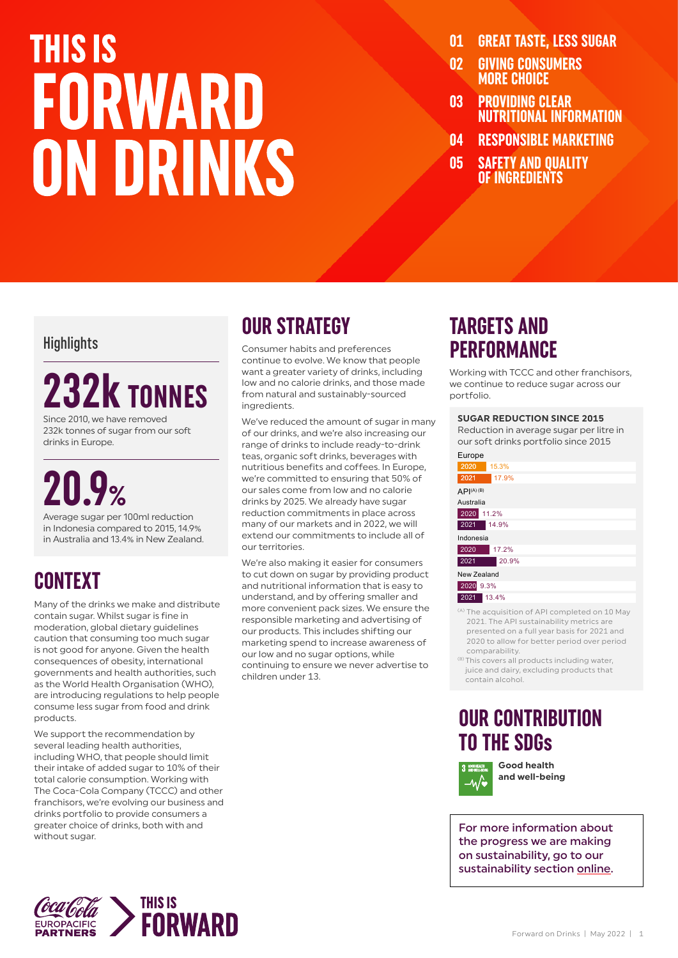## **THIS IS** FORWARD ON DRINKS

- **01 GREAT TASTE, LESS SUGAR**
- **02 GIVING CONSUMERS MORE CHOICE**
- **03 PROVIDING CLEAR NUTRITIONAL INFORMATION**
- **04 RESPONSIBLE MARKETING**
- **05 SAFETY AND QUALITY OF INGREDIENTS**

#### **Highlights**

## **232k TONNES**

Since 2010, we have removed 232k tonnes of sugar from our soft drinks in Europe.

## **20.9%**

Average sugar per 100ml reduction in Indonesia compared to 2015, 14.9% in Australia and 13.4% in New Zealand.

### **CONTEXT**

Many of the drinks we make and distribute contain sugar. Whilst sugar is fine in moderation, global dietary guidelines caution that consuming too much sugar is not good for anyone. Given the health consequences of obesity, international governments and health authorities, such as the World Health Organisation (WHO), are introducing regulations to help people consume less sugar from food and drink products.

We support the recommendation by several leading health authorities, including WHO, that people should limit their intake of added sugar to 10% of their total calorie consumption. Working with The Coca-Cola Company (TCCC) and other franchisors, we're evolving our business and drinks portfolio to provide consumers a greater choice of drinks, both with and without sugar.

### **OUR STRATEGY**

Consumer habits and preferences continue to evolve. We know that people want a greater variety of drinks, including low and no calorie drinks, and those made from natural and sustainably-sourced ingredients.

We've reduced the amount of sugar in many of our drinks, and we're also increasing our range of drinks to include ready-to-drink teas, organic soft drinks, beverages with nutritious benefits and coffees. In Europe, we're committed to ensuring that 50% of our sales come from low and no calorie drinks by 2025. We already have sugar reduction commitments in place across many of our markets and in 2022, we will extend our commitments to include all of our territories.

We're also making it easier for consumers to cut down on sugar by providing product and nutritional information that is easy to understand, and by offering smaller and more convenient pack sizes. We ensure the responsible marketing and advertising of our products. This includes shifting our marketing spend to increase awareness of our low and no sugar options, while continuing to ensure we never advertise to children under 13.

### **TARGETS AND PERFORMANCE**

Working with TCCC and other franchisors, we continue to reduce sugar across our portfolio.

#### **SUGAR REDUCTION SINCE 2015**

Reduction in average sugar per litre in our soft drinks portfolio since 2015

| Europe                 |
|------------------------|
| 2020<br>15.3%          |
| 2021<br>17.9%          |
| API <sup>(A)</sup> (B) |
| Australia              |
| 2020<br>11.2%          |
| 2021<br>14.9%          |
| Indonesia              |
| 2020<br>17.2%          |
| 2021<br>20.9%          |
| New Zealand            |
| 2020 9.3%              |
| 13.4%<br>2021          |

- (A) The acquisition of API completed on 10 May 2021. The API sustainability metrics are presented on a full year basis for 2021 and 2020 to allow for better period over period comparability.
- (B) This covers all products including water, juice and dairy, excluding products that contain alcohol.

### **OUR CONTRIBUTION TO THE SDGs**

**Good health and well-being** –∿⁄∙

For more information about the progress we are making on sustainability, go to our sustainability section [online](https://www.cocacolaep.com/sustainability/download-centre/).

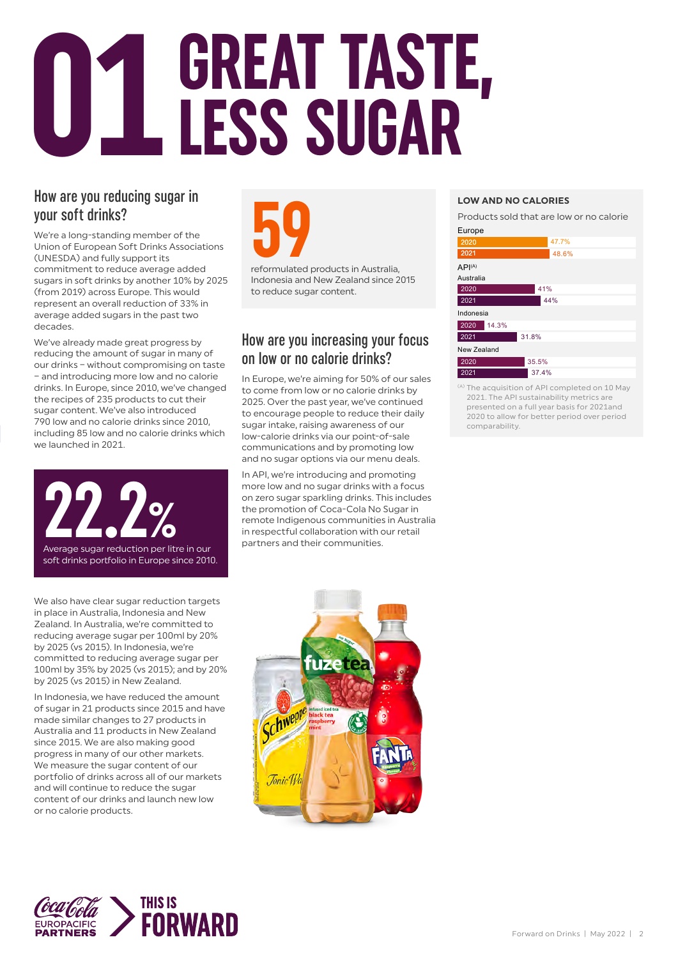# **O1 GREAT TASTE,<br>U1LESS SUGAR**

#### How are you reducing sugar in your soft drinks?

We're a long-standing member of the Union of European Soft Drinks Associations (UNESDA) and fully support its commitment to reduce average added sugars in soft drinks by another 10% by 2025 (from 2019) across Europe. This would represent an overall reduction of 33% in average added sugars in the past two decades.

We've already made great progress by reducing the amount of sugar in many of our drinks – without compromising on taste – and introducing more low and no calorie drinks. In Europe, since 2010, we've changed the recipes of 235 products to cut their sugar content. We've also introduced 790 low and no calorie drinks since 2010, including 85 low and no calorie drinks which we launched in 2021.



soft drinks portfolio in Europe since 2010.

We also have clear sugar reduction targets in place in Australia, Indonesia and New Zealand. In Australia, we're committed to reducing average sugar per 100ml by 20% by 2025 (vs 2015). In Indonesia, we're committed to reducing average sugar per 100ml by 35% by 2025 (vs 2015); and by 20% by 2025 (vs 2015) in New Zealand.

In Indonesia, we have reduced the amount of sugar in 21 products since 2015 and have made similar changes to 27 products in Australia and 11 products in New Zealand since 2015. We are also making good progress in many of our other markets. We measure the sugar content of our portfolio of drinks across all of our markets and will continue to reduce the sugar content of our drinks and launch new low or no calorie products.



Indonesia and New Zealand since 2015 to reduce sugar content.

#### How are you increasing your focus on low or no calorie drinks?

In Europe, we're aiming for 50% of our sales to come from low or no calorie drinks by 2025. Over the past year, we've continued to encourage people to reduce their daily sugar intake, raising awareness of our low-calorie drinks via our point-of-sale communications and by promoting low and no sugar options via our menu deals.

In API, we're introducing and promoting more low and no sugar drinks with a focus on zero sugar sparkling drinks. This includes the promotion of Coca-Cola No Sugar in remote Indigenous communities in Australia in respectful collaboration with our retail partners and their communities.

#### **LOW AND NO CALORIES**

Products sold that are low or no calorie



<sup>(A)</sup> The acquisition of API completed on 10 May 2021. The API sustainability metrics are presented on a full year basis for 2021and 2020 to allow for better period over period comparability.



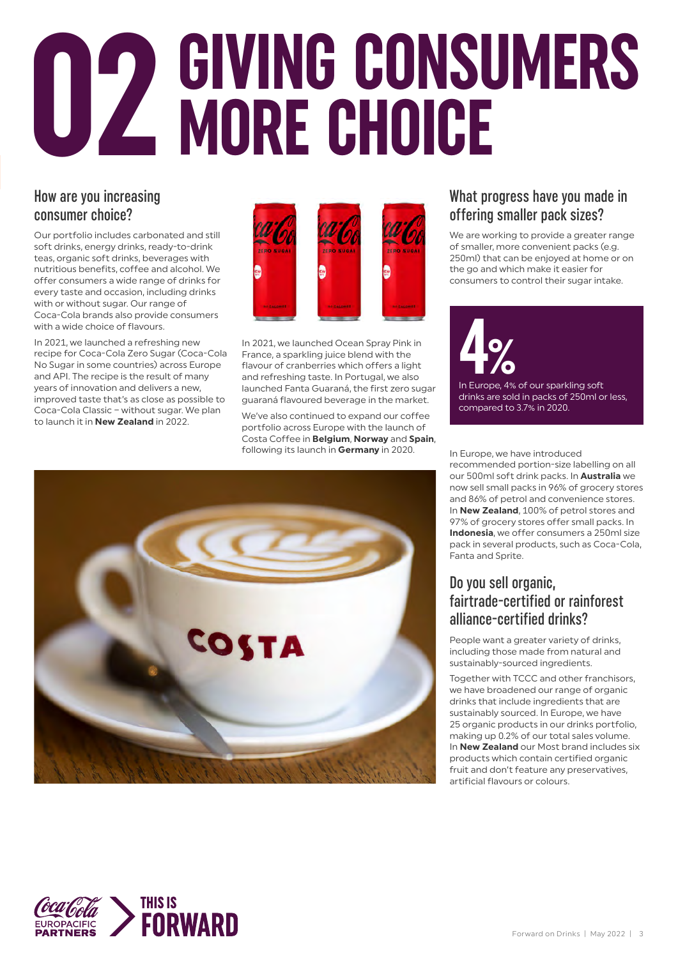# **GIVING CONSUMERS 02 MORE CHOICE**

#### How are you increasing consumer choice?

Our portfolio includes carbonated and still soft drinks, energy drinks, ready-to-drink teas, organic soft drinks, beverages with nutritious benefits, coffee and alcohol. We offer consumers a wide range of drinks for every taste and occasion, including drinks with or without sugar. Our range of Coca-Cola brands also provide consumers with a wide choice of flavours.

In 2021, we launched a refreshing new recipe for Coca-Cola Zero Sugar (Coca-Cola No Sugar in some countries) across Europe and API. The recipe is the result of many years of innovation and delivers a new, improved taste that's as close as possible to Coca-Cola Classic – without sugar. We plan to launch it in **New Zealand** in 2022.



In 2021, we launched Ocean Spray Pink in France, a sparkling juice blend with the flavour of cranberries which offers a light and refreshing taste. In Portugal, we also launched Fanta Guaraná, the first zero sugar guaraná flavoured beverage in the market.

We've also continued to expand our coffee portfolio across Europe with the launch of Costa Coffee in **Belgium**, **Norway** and **Spain**, following its launch in **Germany** in 2020.



We are working to provide a greater range of smaller, more convenient packs (e.g. 250ml) that can be enjoyed at home or on the go and which make it easier for consumers to control their sugar intake.



In Europe, we have introduced recommended portion-size labelling on all our 500ml soft drink packs. In **Australia** we now sell small packs in 96% of grocery stores and 86% of petrol and convenience stores. In **New Zealand**, 100% of petrol stores and 97% of grocery stores offer small packs. In **Indonesia**, we offer consumers a 250ml size pack in several products, such as Coca-Cola, Fanta and Sprite.

#### Do you sell organic, fairtrade‑certified or rainforest alliance-certified drinks?

People want a greater variety of drinks, including those made from natural and sustainably-sourced ingredients.

Together with TCCC and other franchisors, we have broadened our range of organic drinks that include ingredients that are sustainably sourced. In Europe, we have 25 organic products in our drinks portfolio, making up 0.2% of our total sales volume. In **New Zealand** our Most brand includes six products which contain certified organic fruit and don't feature any preservatives, artificial flavours or colours.



**SUBBIS**<br>**FORWARD EUROPACIFIC**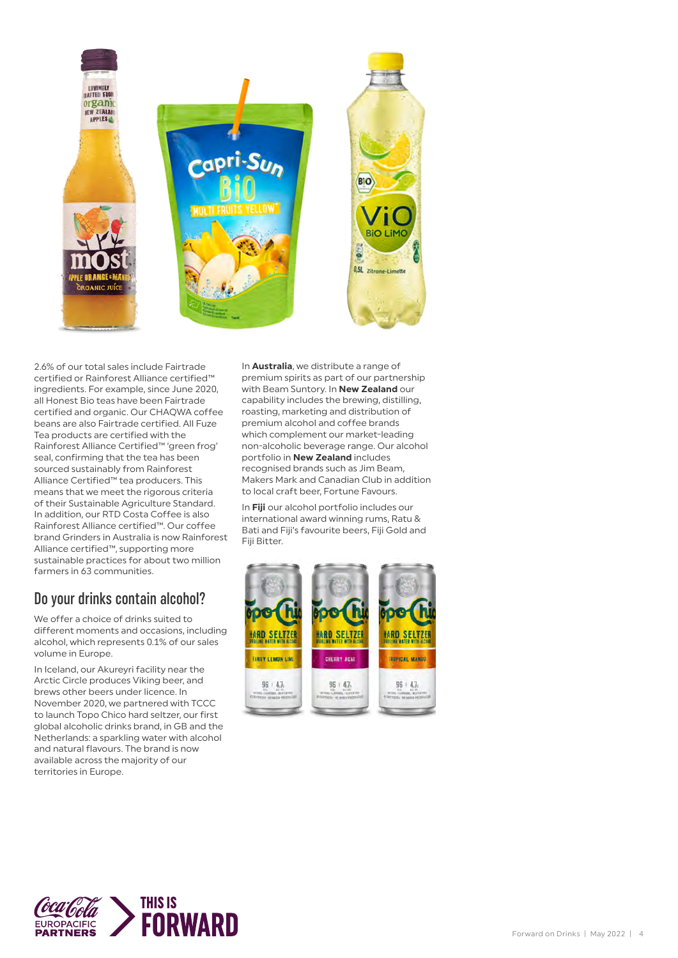

2.6% of our total sales include Fairtrade certified or Rainforest Alliance certified™ ingredients. For example, since June 2020, all Honest Bio teas have been Fairtrade certified and organic. Our CHAQWA coffee beans are also Fairtrade certified. All Fuze Tea products are certified with the Rainforest Alliance Certified™ 'green frog' seal, confirming that the tea has been sourced sustainably from Rainforest Alliance Certified™ tea producers. This means that we meet the rigorous criteria of their Sustainable Agriculture Standard. In addition, our RTD Costa Coffee is also Rainforest Alliance certified™. Our coffee brand Grinders in Australia is now Rainforest Alliance certified™, supporting more sustainable practices for about two million farmers in 63 communities.

#### Do your drinks contain alcohol?

We offer a choice of drinks suited to different moments and occasions, including alcohol, which represents 0.1% of our sales volume in Europe.

In Iceland, our Akureyri facility near the Arctic Circle produces Viking beer, and brews other beers under licence. In November 2020, we partnered with TCCC to launch Topo Chico hard seltzer, our first global alcoholic drinks brand, in GB and the Netherlands: a sparkling water with alcohol and natural flavours. The brand is now available across the majority of our territories in Europe.

In **Australia**, we distribute a range of premium spirits as part of our partnership with Beam Suntory. In **New Zealand** our capability includes the brewing, distilling, roasting, marketing and distribution of premium alcohol and coffee brands which complement our market-leading non-alcoholic beverage range. Our alcohol portfolio in **New Zealand** includes recognised brands such as Jim Beam, Makers Mark and Canadian Club in addition to local craft beer, Fortune Favours.

In **Fiji** our alcohol portfolio includes our international award winning rums, Ratu & Bati and Fiji's favourite beers, Fiji Gold and Fiji Bitter.



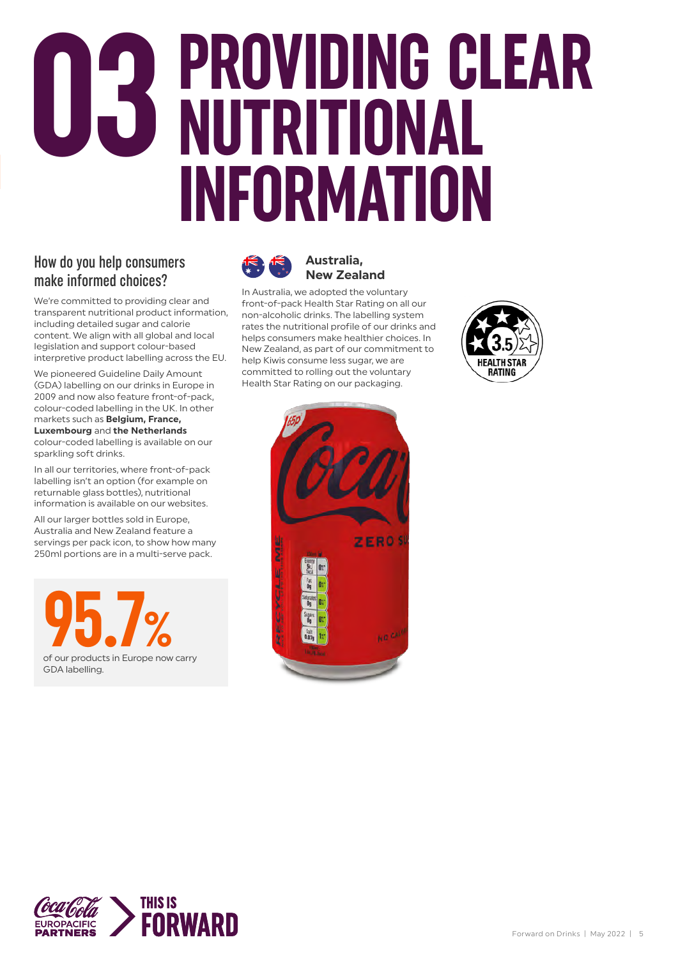## **PROVIDING CLEAR NUTRITIONAL INFORMATION 03**

#### How do you help consumers make informed choices?

We're committed to providing clear and transparent nutritional product information, including detailed sugar and calorie content. We align with all global and local legislation and support colour-based interpretive product labelling across the EU.

We pioneered Guideline Daily Amount (GDA) labelling on our drinks in Europe in 2009 and now also feature front-of-pack, colour-coded labelling in the UK. In other markets such as **Belgium, France, Luxembourg** and **the Netherlands** colour-coded labelling is available on our sparkling soft drinks.

In all our territories, where front-of-pack labelling isn't an option (for example on returnable glass bottles), nutritional information is available on our websites.

All our larger bottles sold in Europe, Australia and New Zealand feature a servings per pack icon, to show how many 250ml portions are in a multi-serve pack.





#### **Australia, New Zealand**

In Australia, we adopted the voluntary front-of-pack Health Star Rating on all our non-alcoholic drinks. The labelling system rates the nutritional profile of our drinks and helps consumers make healthier choices. In New Zealand, as part of our commitment to help Kiwis consume less sugar, we are committed to rolling out the voluntary Health Star Rating on our packaging.





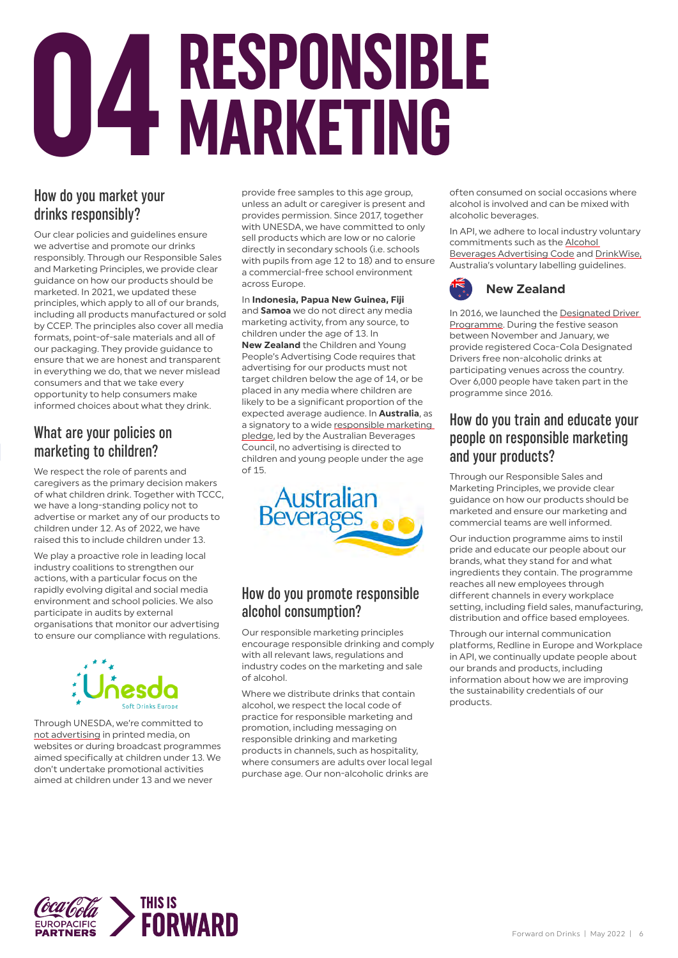# **RESPONSIBLE 04 MARKETING**

#### How do you market your drinks responsibly?

Our clear policies and guidelines ensure we advertise and promote our drinks responsibly. Through our Responsible Sales and Marketing Principles, we provide clear guidance on how our products should be marketed. In 2021, we updated these principles, which apply to all of our brands, including all products manufactured or sold by CCEP. The principles also cover all media formats, point-of-sale materials and all of our packaging. They provide guidance to ensure that we are honest and transparent in everything we do, that we never mislead consumers and that we take every opportunity to help consumers make informed choices about what they drink.

#### What are your policies on marketing to children?

We respect the role of parents and caregivers as the primary decision makers of what children drink. Together with TCCC, we have a long-standing policy not to advertise or market any of our products to children under 12. As of 2022, we have raised this to include children under 13.

We play a proactive role in leading local industry coalitions to strengthen our actions, with a particular focus on the rapidly evolving digital and social media environment and school policies. We also participate in audits by external organisations that monitor our advertising to ensure our compliance with regulations.



Through UNESDA, we're committed to not [advertising](https://www.unesda.eu/advertising-marketing-practices/) in printed media, on websites or during broadcast programmes aimed specifically at children under 13. We don't undertake promotional activities aimed at children under 13 and we never

provide free samples to this age group, unless an adult or caregiver is present and provides permission. Since 2017, together with UNESDA, we have committed to only sell products which are low or no calorie directly in secondary schools (i.e. schools with pupils from age 12 to 18) and to ensure a commercial-free school environment across Europe.

In **Indonesia, Papua New Guinea, Fiji**  and **Samoa** we do not direct any media marketing activity, from any source, to children under the age of 13. In **New Zealand** the Children and Young People's Advertising Code requires that advertising for our products must not target children below the age of 14, or be placed in any media where children are likely to be a significant proportion of the expected average audience. In **Australia**, as a signatory to a wide [responsible marketing](https://www.australianbeverages.org/initiatives-advocacy-information/marketing-advertising/)  [pledge](https://www.australianbeverages.org/initiatives-advocacy-information/marketing-advertising/), led by the Australian Beverages Council, no advertising is directed to children and young people under the age of 15.



#### How do you promote responsible alcohol consumption?

Our responsible marketing principles encourage responsible drinking and comply with all relevant laws, regulations and industry codes on the marketing and sale of alcohol.

Where we distribute drinks that contain alcohol, we respect the local code of practice for responsible marketing and promotion, including messaging on responsible drinking and marketing products in channels, such as hospitality, where consumers are adults over local legal purchase age. Our non-alcoholic drinks are

often consumed on social occasions where alcohol is involved and can be mixed with alcoholic beverages.

In API, we adhere to local industry voluntary commitments such as the [Alcohol](https://www.abac.org.au/about/thecode/)  [Beverages Advertising Code](https://www.abac.org.au/about/thecode/) and [DrinkWise](https://drinkwise.org.au/), Australia's voluntary labelling guidelines.



In 2016, we launched the [Designated Driver](https://www.coke.co.nz/driver/)  [Programme.](https://www.coke.co.nz/driver/) During the festive season between November and January, we provide registered Coca-Cola Designated Drivers free non-alcoholic drinks at participating venues across the country. Over 6,000 people have taken part in the programme since 2016.

#### How do you train and educate your people on responsible marketing and your products?

Through our Responsible Sales and Marketing Principles, we provide clear guidance on how our products should be marketed and ensure our marketing and commercial teams are well informed.

Our induction programme aims to instil pride and educate our people about our brands, what they stand for and what ingredients they contain. The programme reaches all new employees through different channels in every workplace setting, including field sales, manufacturing, distribution and office based employees.

Through our internal communication platforms, Redline in Europe and Workplace in API, we continually update people about our brands and products, including information about how we are improving the sustainability credentials of our products.